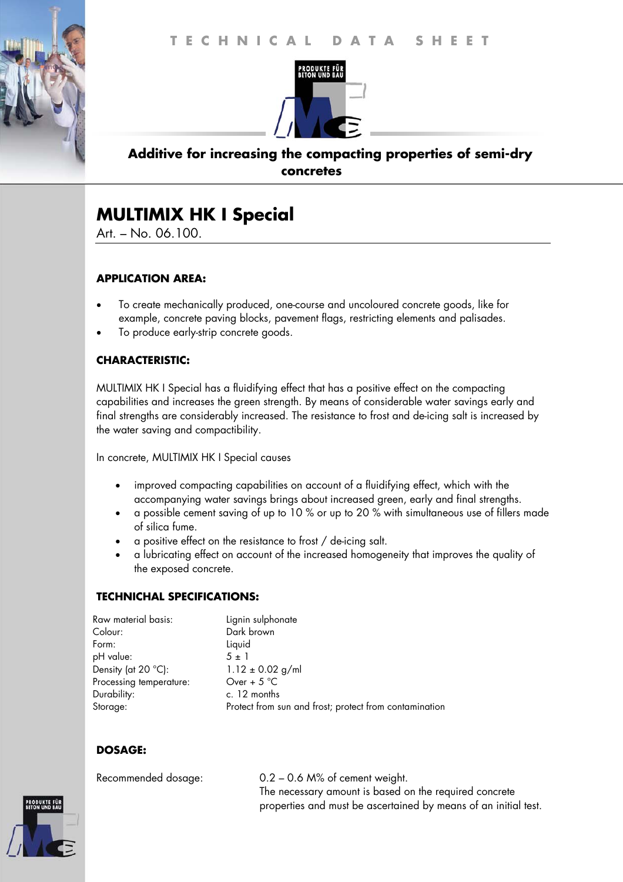

## **Additive for increasing the compacting properties of semi-dry concretes**

# **MULTIMIX HK I Special**

Art. – No. 06.100.

## **APPLICATION AREA:**

- To create mechanically produced, one-course and uncoloured concrete goods, like for example, concrete paving blocks, pavement flags, restricting elements and palisades.
- To produce early-strip concrete goods.

## **CHARACTERISTIC:**

MULTIMIX HK I Special has a fluidifying effect that has a positive effect on the compacting capabilities and increases the green strength. By means of considerable water savings early and final strengths are considerably increased. The resistance to frost and de-icing salt is increased by the water saving and compactibility.

In concrete, MULTIMIX HK I Special causes

- improved compacting capabilities on account of a fluidifying effect, which with the accompanying water savings brings about increased green, early and final strengths.
- a possible cement saving of up to 10 % or up to 20 % with simultaneous use of fillers made of silica fume.
- a positive effect on the resistance to frost / de-icing salt.
- a lubricating effect on account of the increased homogeneity that improves the quality of the exposed concrete.

## **TECHNICHAL SPECIFICATIONS:**

| Raw material basis:          | Lignin sulphonate                                      |
|------------------------------|--------------------------------------------------------|
| Colour:                      | Dark brown                                             |
| Form:                        | Liquid                                                 |
| pH value:                    | $5 \pm 1$                                              |
| Density (at $20^{\circ}$ C): | $1.12 \pm 0.02$ g/ml                                   |
| Processing temperature:      | Over + $5^{\circ}$ C                                   |
| Durability:                  | c. 12 months                                           |
| Storage:                     | Protect from sun and frost; protect from contamination |

## **DOSAGE:**

Recommended dosage: 0.2 – 0.6 M% of cement weight. The necessary amount is based on the required concrete properties and must be ascertained by means of an initial test.